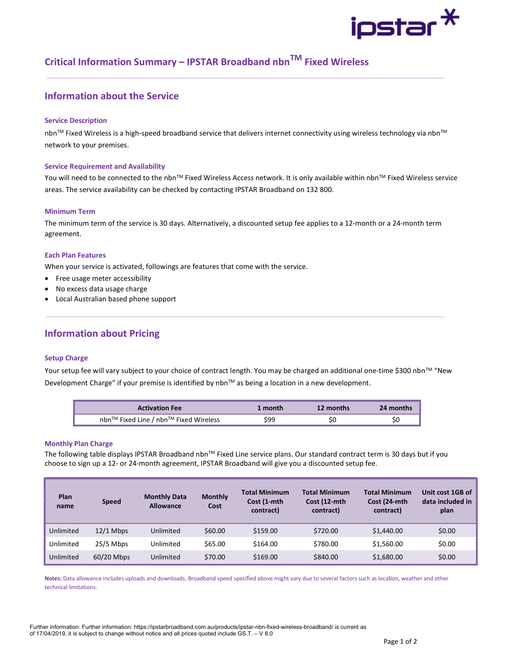# ipstar $^{\textstyle{*}}$

## Critical Information Summary – IPSTAR Broadband nbnTM Fixed Wireless

## Information about the Service

#### Service Description

nbn™ Fixed Wireless is a high-speed broadband service that delivers internet connectivity using wireless technology via nbn™ network to your premises.

#### Service Requirement and Availability

You will need to be connected to the nbn™ Fixed Wireless Access network. It is only available within nbn™ Fixed Wireless service areas. The service availability can be checked by contacting IPSTAR Broadband on 132 800.

#### Minimum Term

The minimum term of the service is 30 days. Alternatively, a discounted setup fee applies to a 12-month or a 24-month term agreement.

#### Each Plan Features

When your service is activated, followings are features that come with the service.

- Free usage meter accessibility
- No excess data usage charge
- Local Australian based phone support

## Information about Pricing

#### Setup Charge

Your setup fee will vary subject to your choice of contract length. You may be charged an additional one-time \$300 nbn™ "New Development Charge" if your premise is identified by nbn™ as being a location in a new development.

| <b>Activation Fee</b>                 | 1 month | 12 months | 24 months |
|---------------------------------------|---------|-----------|-----------|
| nbn™ Fixed Line / nbn™ Fixed Wireless | 599     |           |           |

#### Monthly Plan Charge

The following table displays IPSTAR Broadband nbn™ Fixed Line service plans. Our standard contract term is 30 days but if you choose to sign up a 12- or 24-month agreement, IPSTAR Broadband will give you a discounted setup fee.

| Plan<br>name | <b>Speed</b> | <b>Monthly Data</b><br><b>Allowance</b> | <b>Monthly</b><br>Cost | <b>Total Minimum</b><br>Cost (1-mth<br>contract) | <b>Total Minimum</b><br>Cost (12-mth<br>contract) | <b>Total Minimum</b><br>Cost (24-mth)<br>contract) | Unit cost 1GB of<br>data included in<br>plan |
|--------------|--------------|-----------------------------------------|------------------------|--------------------------------------------------|---------------------------------------------------|----------------------------------------------------|----------------------------------------------|
| Unlimited    | $12/1$ Mbps  | Unlimited                               | \$60.00                | \$159.00                                         | \$720.00                                          | \$1,440.00                                         | \$0.00                                       |
| Unlimited    | $25/5$ Mbps  | Unlimited                               | \$65.00                | \$164.00                                         | \$780.00                                          | \$1,560.00                                         | \$0.00                                       |
| Unlimited    | 60/20 Mbps   | Unlimited                               | \$70.00                | \$169.00                                         | \$840.00                                          | \$1,680.00                                         | \$0.00                                       |

Notes: Data allowance includes uploads and downloads. Broadband speed specified above might vary due to several factors such as location, weather and other technical limitations.

Further information: Further information: https://ipstarbroadband.com.au/products/ipstar-nbn-fixed-wireless-broadband/ is current as of 17/04/2019, it is subject to change without notice and all prices quoted include GS T. – V 8.0